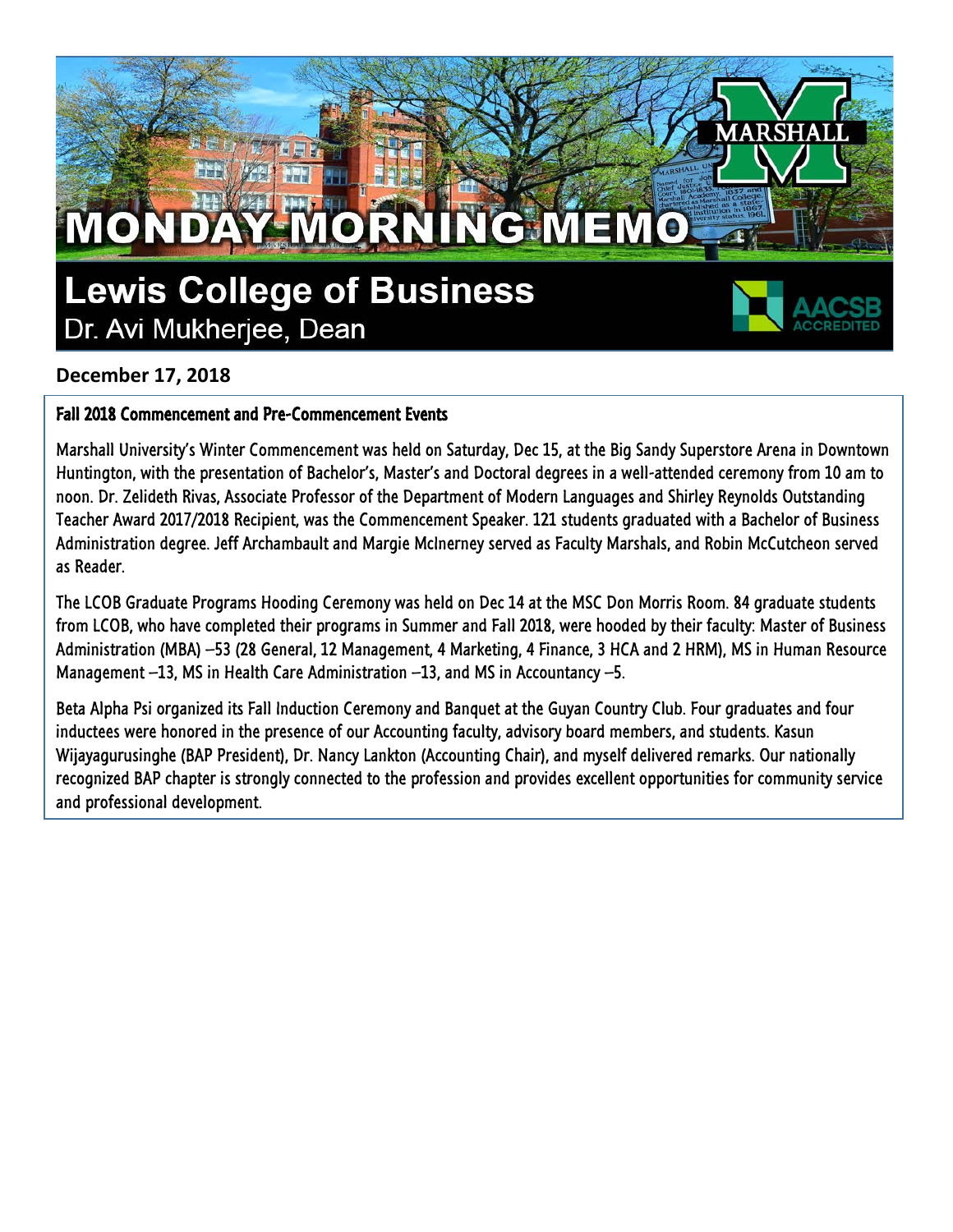## **Lewis College of Business** Dr. Avi Mukherjee, Dean

MONDAY MORNING MEMO



### **December 17, 2018**

#### Fall 2018 Commencement and Pre-Commencement Events

Marshall University's Winter Commencement was held on Saturday, Dec 15, at the Big Sandy Superstore Arena in Downtown Huntington, with the presentation of Bachelor's, Master's and Doctoral degrees in a well-attended ceremony from 10 am to noon. Dr. Zelideth Rivas, Associate Professor of the Department of Modern Languages and Shirley Reynolds Outstanding Teacher Award 2017/2018 Recipient, was the Commencement Speaker. 121 students graduated with a Bachelor of Business Administration degree. Jeff Archambault and Margie McInerney served as Faculty Marshals, and Robin McCutcheon served as Reader.

The LCOB Graduate Programs Hooding Ceremony was held on Dec 14 at the MSC Don Morris Room. 84 graduate students from LCOB, who have completed their programs in Summer and Fall 2018, were hooded by their faculty: Master of Business Administration (MBA) –53 (28 General, 12 Management, 4 Marketing, 4 Finance, 3 HCA and 2 HRM), MS in Human Resource Management –13, MS in Health Care Administration –13, and MS in Accountancy –5.

Beta Alpha Psi organized its Fall Induction Ceremony and Banquet at the Guyan Country Club. Four graduates and four inductees were honored in the presence of our Accounting faculty, advisory board members, and students. Kasun Wijayagurusinghe (BAP President), Dr. Nancy Lankton (Accounting Chair), and myself delivered remarks. Our nationally recognized BAP chapter is strongly connected to the profession and provides excellent opportunities for community service and professional development.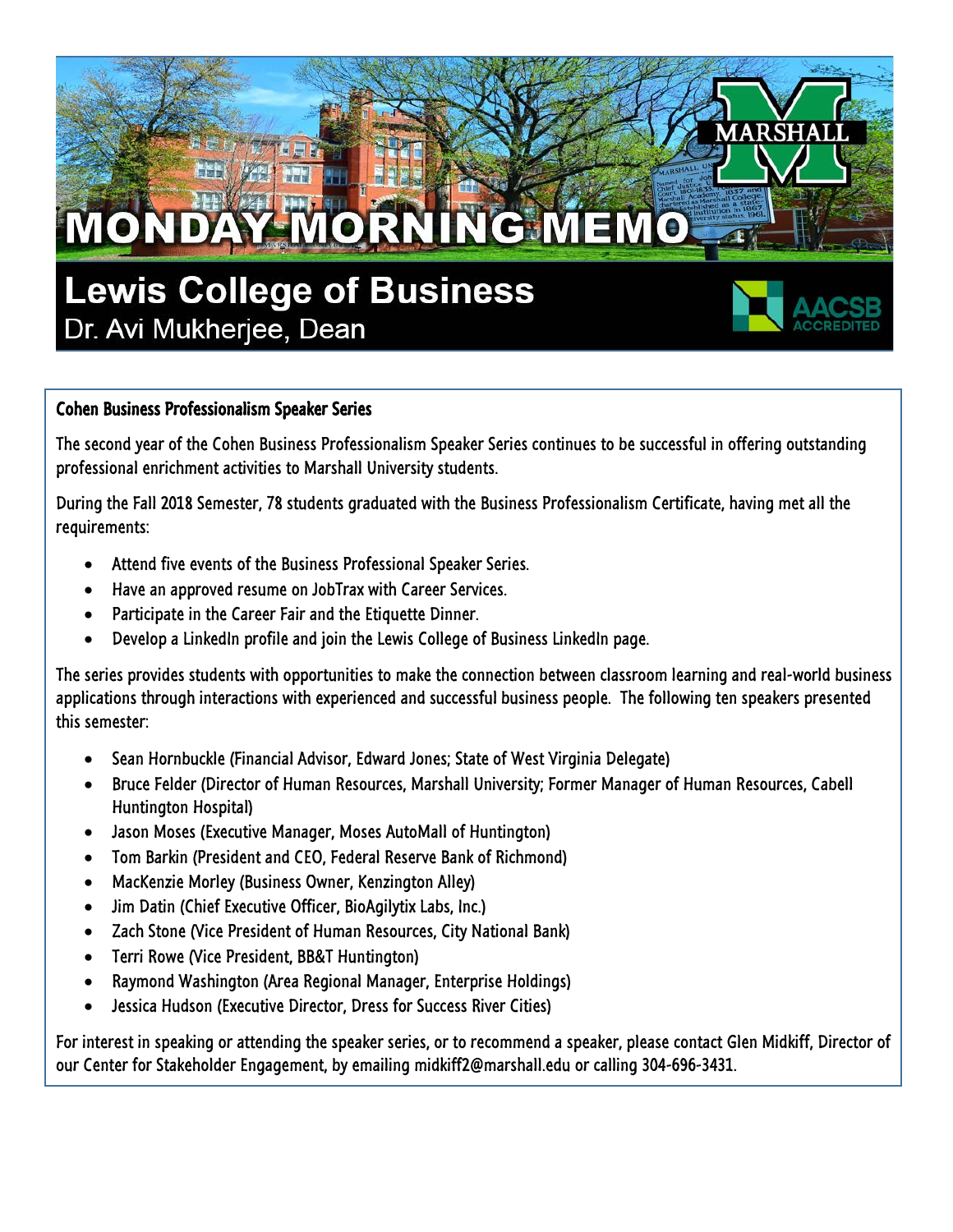

#### Cohen Business Professionalism Speaker Series

The second year of the Cohen Business Professionalism Speaker Series continues to be successful in offering outstanding professional enrichment activities to Marshall University students.

During the Fall 2018 Semester, 78 students graduated with the Business Professionalism Certificate, having met all the requirements:

- Attend five events of the Business Professional Speaker Series.
- Have an approved resume on JobTrax with Career Services.
- Participate in the Career Fair and the Etiquette Dinner.
- Develop a LinkedIn profile and join the Lewis College of Business LinkedIn page.

The series provides students with opportunities to make the connection between classroom learning and real-world business applications through interactions with experienced and successful business people. The following ten speakers presented this semester:

- Sean Hornbuckle (Financial Advisor, Edward Jones; State of West Virginia Delegate)
- Bruce Felder (Director of Human Resources, Marshall University; Former Manager of Human Resources, Cabell Huntington Hospital)
- Jason Moses (Executive Manager, Moses AutoMall of Huntington)
- Tom Barkin (President and CEO, Federal Reserve Bank of Richmond)
- MacKenzie Morley (Business Owner, Kenzington Alley)
- Jim Datin (Chief Executive Officer, BioAgilytix Labs, Inc.)
- Zach Stone (Vice President of Human Resources, City National Bank)
- Terri Rowe (Vice President, BB&T Huntington)
- Raymond Washington (Area Regional Manager, Enterprise Holdings)
- Jessica Hudson (Executive Director, Dress for Success River Cities)

For interest in speaking or attending the speaker series, or to recommend a speaker, please contact Glen Midkiff, Director of our Center for Stakeholder Engagement, by emailing midkiff2@marshall.edu or calling 304-696-3431.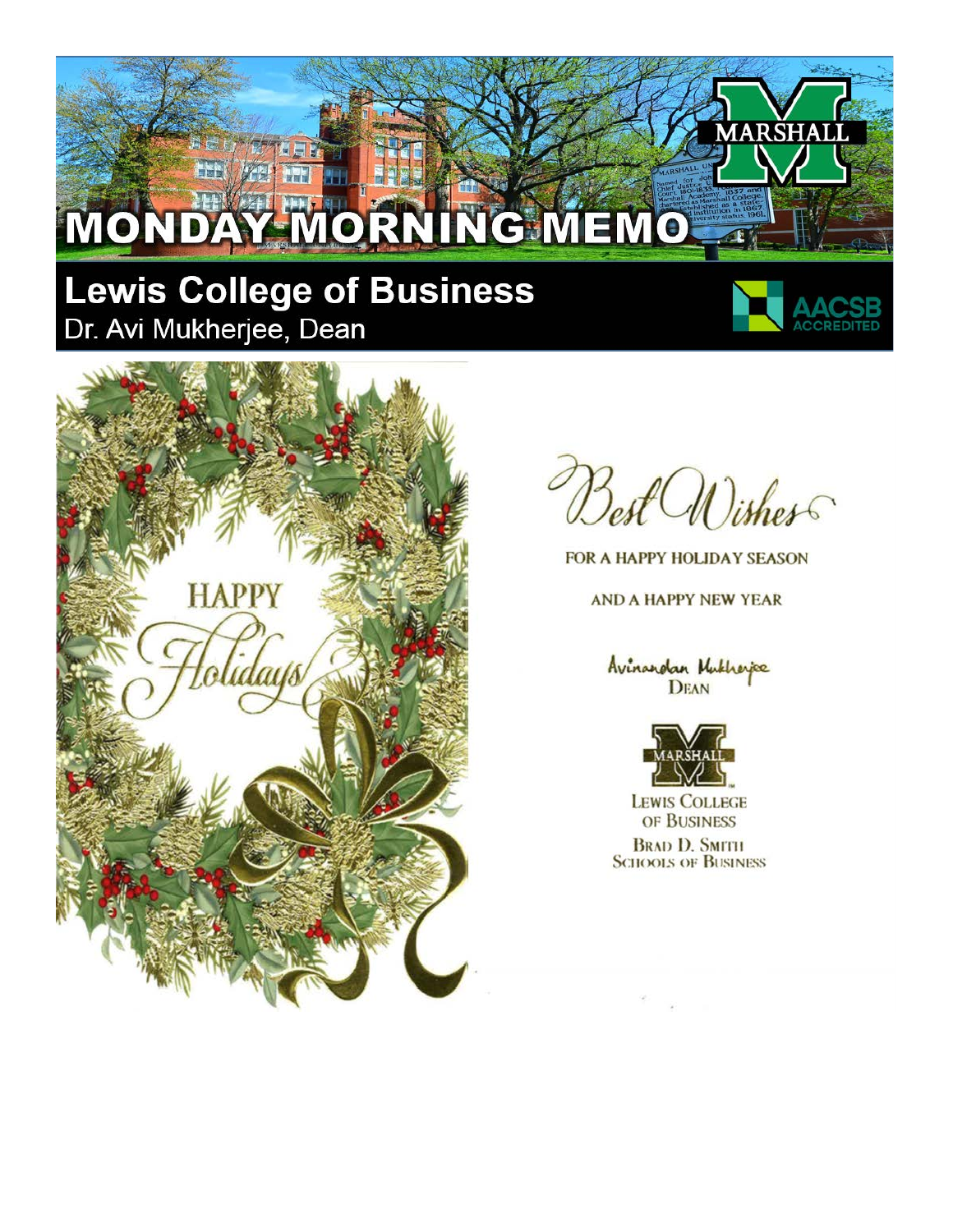# MONDAY MORNING MEMO

## **Lewis College of Business** Dr. Avi Mukherjee, Dean



ARSHA



Best Wisher

FOR A HAPPY HOLIDAY SEASON

**AND A HAPPY NEW YEAR** 

Avinandan Mukheyee



**LEWIS COLLEGE** OF BUSINESS

**BRAD D. SMITH SCHOOLS OF BUSINESS**